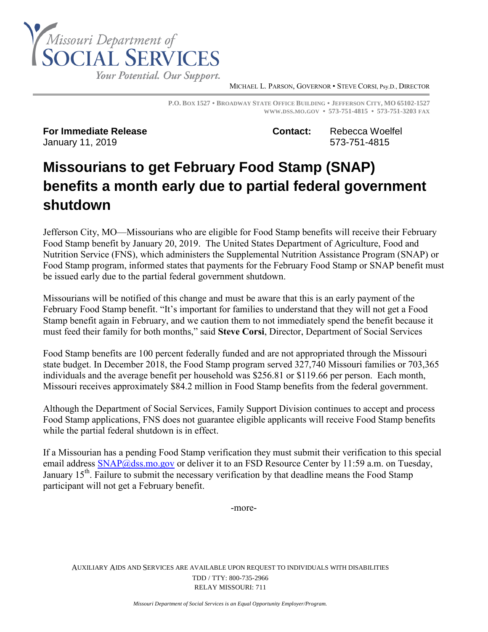

MICHAEL L. PARSON, GOVERNOR • STEVE CORSI, Psy.D., DIRECTOR

P.O. BOX 1527 . BROADWAY STATE OFFICE BUILDING . JEFFERSON CITY, MO 65102-1527 **WWW.DSS.MO.GOV • 573-751-4815 • 573-751-3203 FAX**

**For Immediate Release Contact:** Rebecca Woelfel January 11, 2019 573-751-4815

## **Missourians to get February Food Stamp (SNAP) benefits a month early due to partial federal government shutdown**

Jefferson City, MO—Missourians who are eligible for Food Stamp benefits will receive their February Food Stamp benefit by January 20, 2019. The United States Department of Agriculture, Food and Nutrition Service (FNS), which administers the Supplemental Nutrition Assistance Program (SNAP) or Food Stamp program, informed states that payments for the February Food Stamp or SNAP benefit must be issued early due to the partial federal government shutdown.

Missourians will be notified of this change and must be aware that this is an early payment of the February Food Stamp benefit. "It's important for families to understand that they will not get a Food Stamp benefit again in February, and we caution them to not immediately spend the benefit because it must feed their family for both months," said **Steve Corsi**, Director, Department of Social Services

Food Stamp benefits are 100 percent federally funded and are not appropriated through the Missouri state budget. In December 2018, the Food Stamp program served 327,740 Missouri families or 703,365 individuals and the average benefit per household was \$256.81 or \$119.66 per person. Each month, Missouri receives approximately \$84.2 million in Food Stamp benefits from the federal government.

Although the Department of Social Services, Family Support Division continues to accept and process Food Stamp applications, FNS does not guarantee eligible applicants will receive Food Stamp benefits while the partial federal shutdown is in effect.

If a Missourian has a pending Food Stamp verification they must submit their verification to this special email address [SNAP@dss.mo.gov](mailto:SNAP@dss.mo.gov) or deliver it to an FSD Resource Center by 11:59 a.m. on Tuesday, January 15<sup>th</sup>. Failure to submit the necessary verification by that deadline means the Food Stamp participant will not get a February benefit.

-more-

AUXILIARY AIDS AND SERVICES ARE AVAILABLE UPON REQUEST TO INDIVIDUALS WITH DISABILITIES TDD / TTY: 800-735-2966 RELAY MISSOURI: 711

*Missouri Department of Social Services is an Equal Opportunity Employer/Program.*